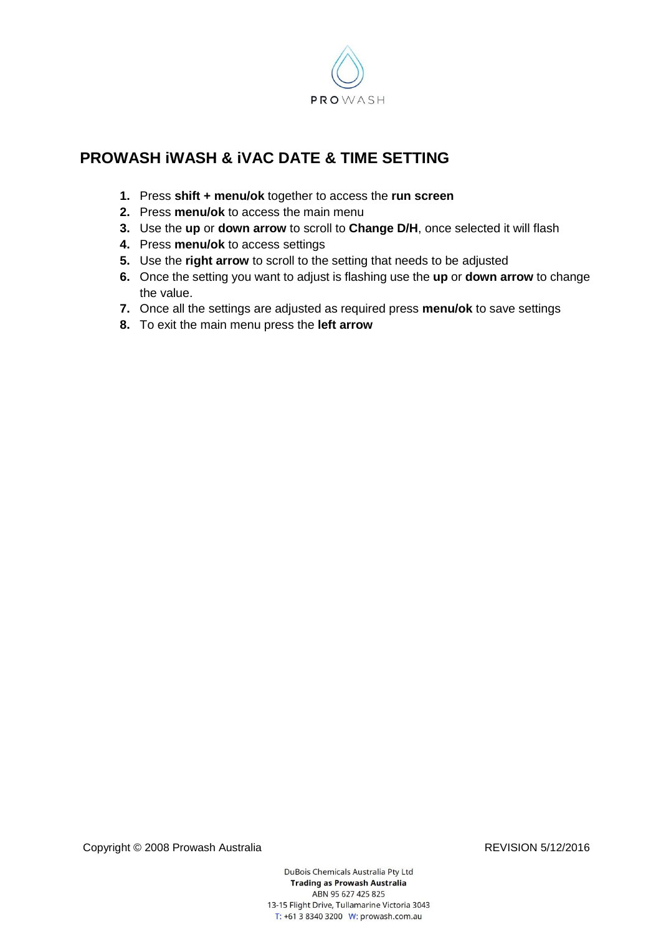

## **PROWASH iWASH & iVAC DATE & TIME SETTING**

- **1.** Press **shift + menu/ok** together to access the **run screen**
- **2.** Press **menu/ok** to access the main menu
- **3.** Use the **up** or **down arrow** to scroll to **Change D/H**, once selected it will flash
- **4.** Press **menu/ok** to access settings
- **5.** Use the **right arrow** to scroll to the setting that needs to be adjusted
- **6.** Once the setting you want to adjust is flashing use the **up** or **down arrow** to change the value.
- **7.** Once all the settings are adjusted as required press **menu/ok** to save settings
- **8.** To exit the main menu press the **left arrow**

Copyright © 2008 Prowash Australia Revised Copyright © 2008 Prowash Australia

DuBois Chemicals Australia Pty Ltd **Trading as Prowash Australia** ABN 95 627 425 825 13-15 Flight Drive, Tullamarine Victoria 3043 T: +61 3 8340 3200 W: prowash.com.au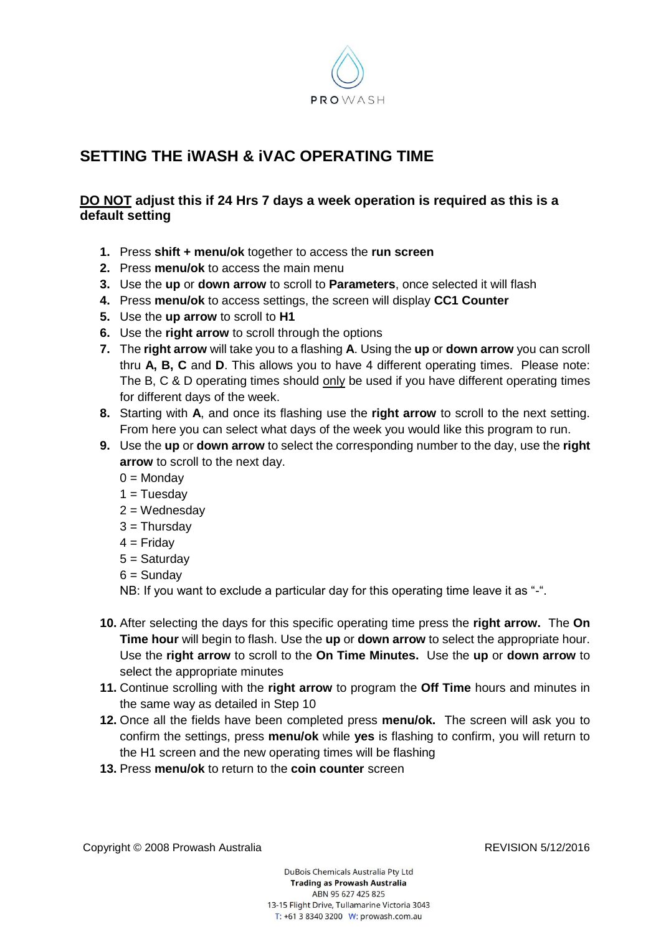

## **SETTING THE iWASH & iVAC OPERATING TIME**

## **DO NOT adjust this if 24 Hrs 7 days a week operation is required as this is a default setting**

- **1.** Press **shift + menu/ok** together to access the **run screen**
- **2.** Press **menu/ok** to access the main menu
- **3.** Use the **up** or **down arrow** to scroll to **Parameters**, once selected it will flash
- **4.** Press **menu/ok** to access settings, the screen will display **CC1 Counter**
- **5.** Use the **up arrow** to scroll to **H1**
- **6.** Use the **right arrow** to scroll through the options
- **7.** The **right arrow** will take you to a flashing **A**. Using the **up** or **down arrow** you can scroll thru **A, B, C** and **D**. This allows you to have 4 different operating times. Please note: The B, C & D operating times should only be used if you have different operating times for different days of the week.
- **8.** Starting with **A**, and once its flashing use the **right arrow** to scroll to the next setting. From here you can select what days of the week you would like this program to run.
- **9.** Use the **up** or **down arrow** to select the corresponding number to the day, use the **right arrow** to scroll to the next day.
	- $0 =$ Monday
	- $1 =$ Tuesday
	- $2 =$ Wednesday
	- $3$  = Thursday
	- $4 =$  Friday
	- 5 = Saturday
	- $6 =$ Sunday

NB: If you want to exclude a particular day for this operating time leave it as "-".

- **10.** After selecting the days for this specific operating time press the **right arrow.** The **On Time hour** will begin to flash. Use the **up** or **down arrow** to select the appropriate hour. Use the **right arrow** to scroll to the **On Time Minutes.** Use the **up** or **down arrow** to select the appropriate minutes
- **11.** Continue scrolling with the **right arrow** to program the **Off Time** hours and minutes in the same way as detailed in Step 10
- **12.** Once all the fields have been completed press **menu/ok.** The screen will ask you to confirm the settings, press **menu/ok** while **yes** is flashing to confirm, you will return to the H1 screen and the new operating times will be flashing
- **13.** Press **menu/ok** to return to the **coin counter** screen

Copyright © 2008 Prowash Australia **REVISION 5/12/2016**